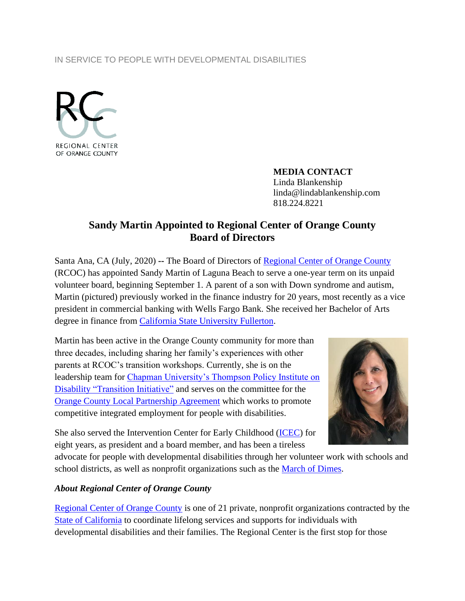## IN SERVICE TO PEOPLE WITH DEVELOPMENTAL DISABILITIES



**MEDIA CONTACT** Linda Blankenship linda@lindablankenship.com 818.224.8221

## **Sandy Martin Appointed to Regional Center of Orange County Board of Directors**

Santa Ana, CA (July, 2020) **--** The Board of Directors of [Regional Center of Orange County](http://www.rcocdd.com/) (RCOC) has appointed Sandy Martin of Laguna Beach to serve a one-year term on its unpaid volunteer board, beginning September 1. A parent of a son with Down syndrome and autism, Martin (pictured) previously worked in the finance industry for 20 years, most recently as a vice president in commercial banking with Wells Fargo Bank. She received her Bachelor of Arts degree in finance from [California State University Fullerton.](https://business.fullerton.edu/department/finance)

Martin has been active in the Orange County community for more than three decades, including sharing her family's experiences with other parents at RCOC's transition workshops. Currently, she is on the leadership team for [Chapman University's Thompson Policy Institute on](https://www.chapman.edu/education/centers-and-partnerships/thompson-policy-institute/transition-initiative/index.aspx)  Disability ["Transition Initiative"](https://www.chapman.edu/education/centers-and-partnerships/thompson-policy-institute/transition-initiative/index.aspx) and serves on the committee for the [Orange County Local Partnership Agreement](https://www.chhs.ca.gov/home/cie/elementor-11522/) which works to promote competitive integrated employment for people with disabilities.



She also served the Intervention Center for Early Childhood [\(ICEC\)](https://iceckids.org/) for eight years, as president and a board member, and has been a tireless

advocate for people with developmental disabilities through her volunteer work with schools and school districts, as well as nonprofit organizations such as the [March of Dimes.](https://www.marchofdimes.org/)

## *About Regional Center of Orange County*

[Regional Center of Orange County](http://www.rcocdd.com/) is one of 21 private, nonprofit organizations contracted by the [State of California](https://www.dds.ca.gov/) to coordinate lifelong services and supports for individuals with developmental disabilities and their families. The Regional Center is the first stop for those